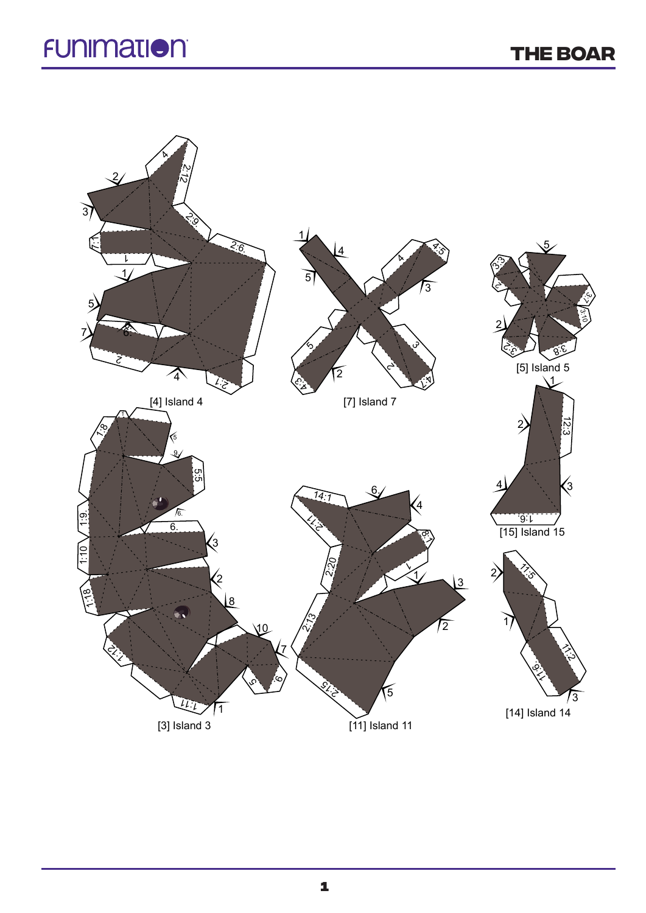## **FUNIMATION**

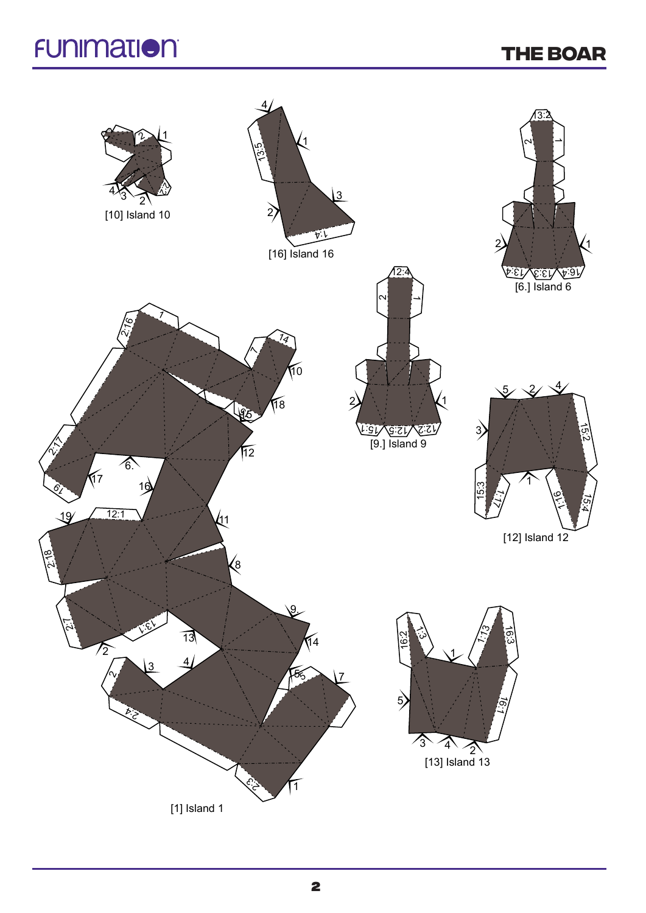## **FUNIMATION**

## **THE BOAR**